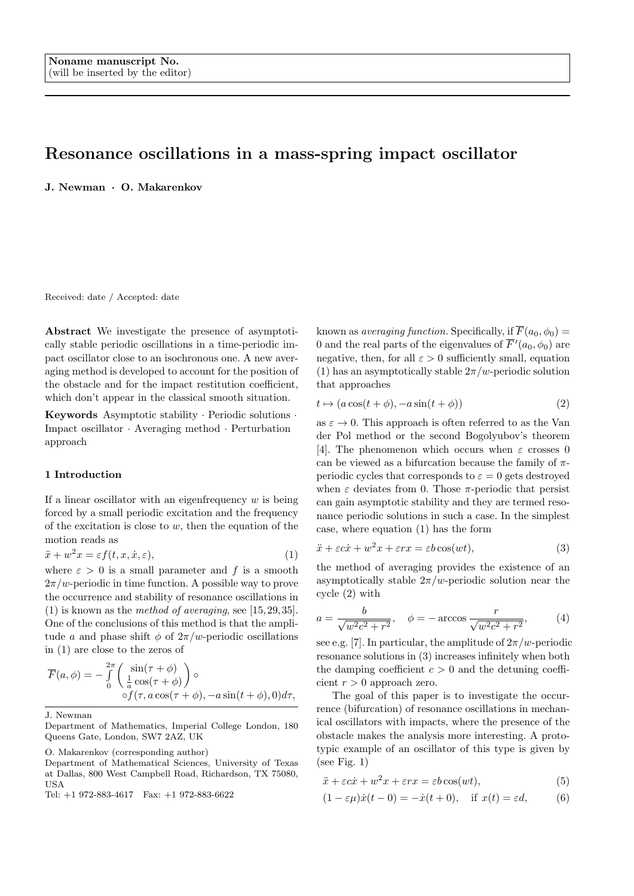# Resonance oscillations in a mass-spring impact oscillator

J. Newman · O. Makarenkov

Received: date / Accepted: date

Abstract We investigate the presence of asymptotically stable periodic oscillations in a time-periodic impact oscillator close to an isochronous one. A new averaging method is developed to account for the position of the obstacle and for the impact restitution coefficient, which don't appear in the classical smooth situation.

Keywords Asymptotic stability · Periodic solutions · Impact oscillator · Averaging method · Perturbation approach

## 1 Introduction

If a linear oscillator with an eigenfrequency  $w$  is being forced by a small periodic excitation and the frequency of the excitation is close to  $w$ , then the equation of the motion reads as

$$
\ddot{x} + w^2 x = \varepsilon f(t, x, \dot{x}, \varepsilon),\tag{1}
$$

where  $\varepsilon > 0$  is a small parameter and f is a smooth  $2\pi/w$ -periodic in time function. A possible way to prove the occurrence and stability of resonance oscillations in (1) is known as the method of averaging, see  $[15, 29, 35]$ . One of the conclusions of this method is that the amplitude a and phase shift  $\phi$  of  $2\pi/w$ -periodic oscillations in (1) are close to the zeros of

$$
\overline{F}(a,\phi) = -\int_{0}^{2\pi} \left( \frac{\sin(\tau + \phi)}{\frac{1}{a}\cos(\tau + \phi)} \right) \circ \circ f(\tau, a\cos(\tau + \phi), -a\sin(t + \phi), 0) d\tau,
$$

J. Newman

O. Makarenkov (corresponding author)

Tel: +1 972-883-4617 Fax: +1 972-883-6622

known as *averaging function*. Specifically, if  $\overline{F}(a_0, \phi_0) =$ 0 and the real parts of the eigenvalues of  $\overline{F}'(a_0, \phi_0)$  are negative, then, for all  $\varepsilon > 0$  sufficiently small, equation (1) has an asymptotically stable  $2\pi/w$ -periodic solution that approaches

$$
t \mapsto (a\cos(t+\phi), -a\sin(t+\phi))\tag{2}
$$

as  $\varepsilon \to 0$ . This approach is often referred to as the Van der Pol method or the second Bogolyubov's theorem [4]. The phenomenon which occurs when  $\varepsilon$  crosses 0 can be viewed as a bifurcation because the family of  $\pi$ periodic cycles that corresponds to  $\varepsilon = 0$  gets destroyed when  $\varepsilon$  deviates from 0. Those  $\pi$ -periodic that persist can gain asymptotic stability and they are termed resonance periodic solutions in such a case. In the simplest case, where equation (1) has the form

$$
\ddot{x} + \varepsilon c \dot{x} + w^2 x + \varepsilon r x = \varepsilon b \cos(wt),\tag{3}
$$

the method of averaging provides the existence of an asymptotically stable  $2\pi/w$ -periodic solution near the cycle (2) with

$$
a = \frac{b}{\sqrt{w^2 c^2 + r^2}}, \quad \phi = -\arccos\frac{r}{\sqrt{w^2 c^2 + r^2}},\tag{4}
$$

see e.g. [7]. In particular, the amplitude of  $2\pi/w$ -periodic resonance solutions in (3) increases infinitely when both the damping coefficient  $c > 0$  and the detuning coefficient  $r > 0$  approach zero.

The goal of this paper is to investigate the occurrence (bifurcation) of resonance oscillations in mechanical oscillators with impacts, where the presence of the obstacle makes the analysis more interesting. A prototypic example of an oscillator of this type is given by (see Fig.  $1)$ )

$$
\ddot{x} + \varepsilon c \dot{x} + w^2 x + \varepsilon r x = \varepsilon b \cos(wt),\tag{5}
$$

$$
(1 - \varepsilon \mu)\dot{x}(t - 0) = -\dot{x}(t + 0), \quad \text{if } x(t) = \varepsilon d,\tag{6}
$$

Department of Mathematics, Imperial College London, 180 Queens Gate, London, SW7 2AZ, UK

Department of Mathematical Sciences, University of Texas at Dallas, 800 West Campbell Road, Richardson, TX 75080, USA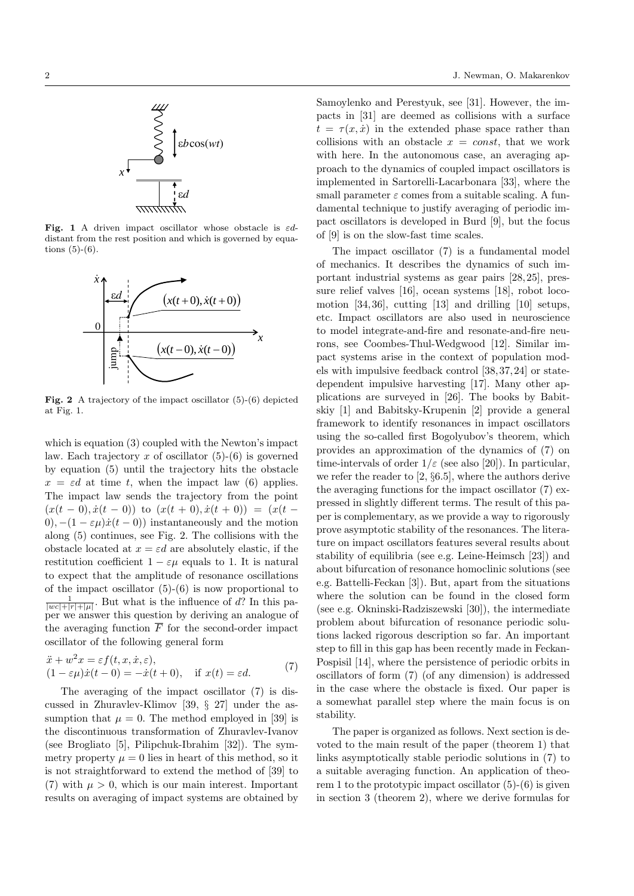

Fig. 1 A driven impact oscillator whose obstacle is  $\varepsilon d$ distant from the rest position and which is governed by equations  $(5)-(6)$ .



Fig. 2 A trajectory of the impact oscillator (5)-(6) depicted at Fig. 1.

which is equation (3) coupled with the Newton's impact law. Each trajectory x of oscillator  $(5)-(6)$  is governed by equation (5) until the trajectory hits the obstacle  $x = \varepsilon d$  at time t, when the impact law (6) applies. The impact law sends the trajectory from the point  $(x(t-0), \dot{x}(t-0))$  to  $(x(t+0), \dot{x}(t+0)) = (x(t-0))$ 0),  $-(1 - \varepsilon \mu)\dot{x}(t-0)$  instantaneously and the motion along (5) continues, see Fig. 2. The collisions with the obstacle located at  $x = \varepsilon d$  are absolutely elastic, if the restitution coefficient  $1 - \varepsilon \mu$  equals to 1. It is natural to expect that the amplitude of resonance oscillations of the impact oscillator  $(5)-(6)$  is now proportional to  $\frac{1}{|w\tilde{c}|+|r|+|\mu|}$ . But what is the influence of d? In this paper we answer this question by deriving an analogue of the averaging function  $\overline{F}$  for the second-order impact oscillator of the following general form

$$
\ddot{x} + w^2 x = \varepsilon f(t, x, \dot{x}, \varepsilon), \n(1 - \varepsilon \mu) \dot{x}(t - 0) = -\dot{x}(t + 0), \quad \text{if } x(t) = \varepsilon d.
$$
\n(7)

The averaging of the impact oscillator (7) is discussed in Zhuravlev-Klimov [39, § 27] under the assumption that  $\mu = 0$ . The method employed in [39] is the discontinuous transformation of Zhuravlev-Ivanov (see Brogliato [5], Pilipchuk-Ibrahim [32]). The symmetry property  $\mu = 0$  lies in heart of this method, so it is not straightforward to extend the method of [39] to (7) with  $\mu > 0$ , which is our main interest. Important results on averaging of impact systems are obtained by

Samoylenko and Perestyuk, see [31]. However, the impacts in [31] are deemed as collisions with a surface  $t = \tau(x, \dot{x})$  in the extended phase space rather than collisions with an obstacle  $x = const$ , that we work with here. In the autonomous case, an averaging approach to the dynamics of coupled impact oscillators is implemented in Sartorelli-Lacarbonara [33], where the small parameter  $\varepsilon$  comes from a suitable scaling. A fundamental technique to justify averaging of periodic impact oscillators is developed in Burd [9], but the focus of [9] is on the slow-fast time scales.

The impact oscillator (7) is a fundamental model of mechanics. It describes the dynamics of such important industrial systems as gear pairs [28, 25], pressure relief valves [16], ocean systems [18], robot locomotion [34, 36], cutting [13] and drilling [10] setups, etc. Impact oscillators are also used in neuroscience to model integrate-and-fire and resonate-and-fire neurons, see Coombes-Thul-Wedgwood [12]. Similar impact systems arise in the context of population models with impulsive feedback control [38, 37, 24] or statedependent impulsive harvesting [17]. Many other applications are surveyed in [26]. The books by Babitskiy [1] and Babitsky-Krupenin [2] provide a general framework to identify resonances in impact oscillators using the so-called first Bogolyubov's theorem, which provides an approximation of the dynamics of (7) on time-intervals of order  $1/\varepsilon$  (see also [20]). In particular, we refer the reader to [2, §6.5], where the authors derive the averaging functions for the impact oscillator (7) expressed in slightly different terms. The result of this paper is complementary, as we provide a way to rigorously prove asymptotic stability of the resonances. The literature on impact oscillators features several results about stability of equilibria (see e.g. Leine-Heimsch [23]) and about bifurcation of resonance homoclinic solutions (see e.g. Battelli-Feckan [3]). But, apart from the situations where the solution can be found in the closed form (see e.g. Okninski-Radziszewski [30]), the intermediate problem about bifurcation of resonance periodic solutions lacked rigorous description so far. An important step to fill in this gap has been recently made in Feckan-Pospisil [14], where the persistence of periodic orbits in oscillators of form (7) (of any dimension) is addressed in the case where the obstacle is fixed. Our paper is a somewhat parallel step where the main focus is on stability.

The paper is organized as follows. Next section is devoted to the main result of the paper (theorem 1) that links asymptotically stable periodic solutions in (7) to a suitable averaging function. An application of theorem 1 to the prototypic impact oscillator  $(5)-(6)$  is given in section 3 (theorem 2), where we derive formulas for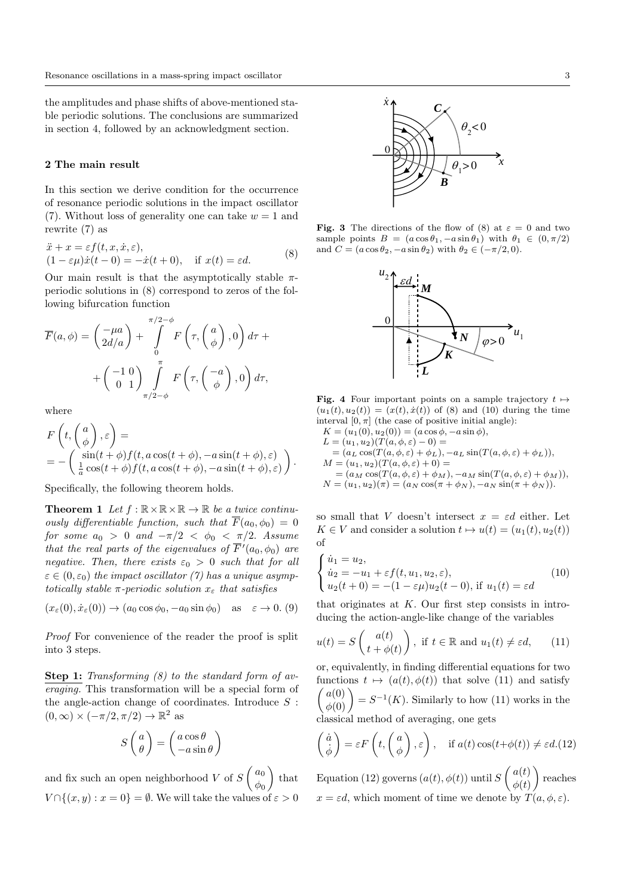the amplitudes and phase shifts of above-mentioned stable periodic solutions. The conclusions are summarized in section 4, followed by an acknowledgment section.

### 2 The main result

In this section we derive condition for the occurrence of resonance periodic solutions in the impact oscillator (7). Without loss of generality one can take  $w = 1$  and rewrite (7) as

$$
\ddot{x} + x = \varepsilon f(t, x, \dot{x}, \varepsilon), (1 - \varepsilon \mu)\dot{x}(t - 0) = -\dot{x}(t + 0), \quad \text{if } x(t) = \varepsilon d.
$$
 (8)

Our main result is that the asymptotically stable  $\pi$ periodic solutions in (8) correspond to zeros of the following bifurcation function

$$
\overline{F}(a,\phi) = \begin{pmatrix} -\mu a \\ 2d/a \end{pmatrix} + \int_{0}^{\pi/2-\phi} F\left(\tau, \begin{pmatrix} a \\ \phi \end{pmatrix}, 0\right) d\tau +
$$

$$
+ \begin{pmatrix} -1 & 0 \\ 0 & 1 \end{pmatrix} \int_{\pi/2-\phi}^{\pi} F\left(\tau, \begin{pmatrix} -a \\ \phi \end{pmatrix}, 0\right) d\tau,
$$

where

$$
F\left(t, \begin{pmatrix} a \\ \phi \end{pmatrix}, \varepsilon\right) = \\ = -\begin{pmatrix} \sin(t+\phi)f(t, a\cos(t+\phi), -a\sin(t+\phi), \varepsilon) \\ \frac{1}{a}\cos(t+\phi)f(t, a\cos(t+\phi), -a\sin(t+\phi), \varepsilon) \end{pmatrix}.
$$

Specifically, the following theorem holds.

**Theorem 1** Let  $f : \mathbb{R} \times \mathbb{R} \times \mathbb{R} \to \mathbb{R}$  be a twice continuously differentiable function, such that  $\overline{F}(a_0, \phi_0) = 0$ for some  $a_0 > 0$  and  $-\pi/2 < \phi_0 < \pi/2$ . Assume that the real parts of the eigenvalues of  $\overline{F}'(a_0, \phi_0)$  are negative. Then, there exists  $\varepsilon_0 > 0$  such that for all  $\varepsilon \in (0, \varepsilon_0)$  the impact oscillator (7) has a unique asymptotically stable  $\pi$ -periodic solution  $x_{\varepsilon}$  that satisfies

 $(x_{\varepsilon}(0), \dot{x}_{\varepsilon}(0)) \rightarrow (a_0 \cos \phi_0, -a_0 \sin \phi_0)$  as  $\varepsilon \rightarrow 0$ . (9)

Proof For convenience of the reader the proof is split into 3 steps.

Step 1: Transforming  $(8)$  to the standard form of averaging. This transformation will be a special form of the angle-action change of coordinates. Introduce  $S$ :  $(0, \infty) \times (-\pi/2, \pi/2) \to \mathbb{R}^2$  as

$$
S\left(\begin{array}{c}a\\ \theta\end{array}\right) = \left(\begin{array}{c}a\cos\theta\\ -a\sin\theta\end{array}\right)
$$

and fix such an open neighborhood V of  $S\begin{pmatrix} a_0 \\ a_1 \end{pmatrix}$  $\phi_0$  $\int$  that  $V \cap \{(x, y) : x = 0\} = \emptyset$ . We will take the values of  $\varepsilon > 0$ 



Fig. 3 The directions of the flow of (8) at  $\varepsilon = 0$  and two sample points  $B = (a \cos \theta_1, -a \sin \theta_1)$  with  $\theta_1 \in (0, \pi/2)$ and  $C = (a \cos \theta_2, -a \sin \theta_2)$  with  $\theta_2 \in (-\pi/2, 0)$ .



**Fig. 4** Four important points on a sample trajectory  $t \mapsto$  $(u_1(t), u_2(t)) = (x(t), \dot{x}(t))$  of (8) and (10) during the time interval  $[0, \pi]$  (the case of positive initial angle):

$$
K = (u_1(0), u_2(0)) = (a \cos \phi, -a \sin \phi),
$$
  
\n
$$
L = (u_1, u_2)(T(a, \phi, \varepsilon) - 0) =
$$
  
\n
$$
= (a_L \cos(T(a, \phi, \varepsilon) + \phi_L), -a_L \sin(T(a, \phi, \varepsilon) + \phi_L)),
$$
  
\n
$$
M = (u_1, u_2)(T(a, \phi, \varepsilon) + 0) =
$$
  
\n
$$
= (a_M \cos(T(a, \phi, \varepsilon) + \phi_M), -a_M \sin(T(a, \phi, \varepsilon) + \phi_M)),
$$
  
\n
$$
N = (u_1, u_2)(\pi) = (a_N \cos(\pi + \phi_N), -a_N \sin(\pi + \phi_N)).
$$

so small that V doesn't intersect  $x = \varepsilon d$  either. Let  $K \in V$  and consider a solution  $t \mapsto u(t) = (u_1(t), u_2(t))$ of

$$
\begin{cases}\n\dot{u}_1 = u_2, \\
\dot{u}_2 = -u_1 + \varepsilon f(t, u_1, u_2, \varepsilon), \\
u_2(t+0) = -(1 - \varepsilon \mu)u_2(t-0), \text{ if } u_1(t) = \varepsilon d\n\end{cases}
$$
\n(10)

that originates at  $K$ . Our first step consists in introducing the action-angle-like change of the variables

$$
u(t) = S\begin{pmatrix} a(t) \\ t + \phi(t) \end{pmatrix}, \text{ if } t \in \mathbb{R} \text{ and } u_1(t) \neq \varepsilon d,
$$
 (11)

or, equivalently, in finding differential equations for two functions  $t \mapsto (a(t), \phi(t))$  that solve (11) and satisfy  $\begin{pmatrix} a(0) \\ \phi(0) \end{pmatrix} = S^{-1}(K)$ . Similarly to how (11) works in the classical method of averaging, one gets

$$
\begin{pmatrix} \dot{a} \\ \dot{\phi} \end{pmatrix} = \varepsilon F\left(t, \begin{pmatrix} a \\ \phi \end{pmatrix}, \varepsilon\right), \quad \text{if } a(t) \cos(t + \phi(t)) \neq \varepsilon d. (12)
$$

Equation (12) governs  $(a(t), \phi(t))$  until  $S\begin{pmatrix} a(t) \\ b(t) \end{pmatrix}$  $\phi(t)$  reaches  $x = \varepsilon d$ , which moment of time we denote by  $T(a, \phi, \varepsilon)$ .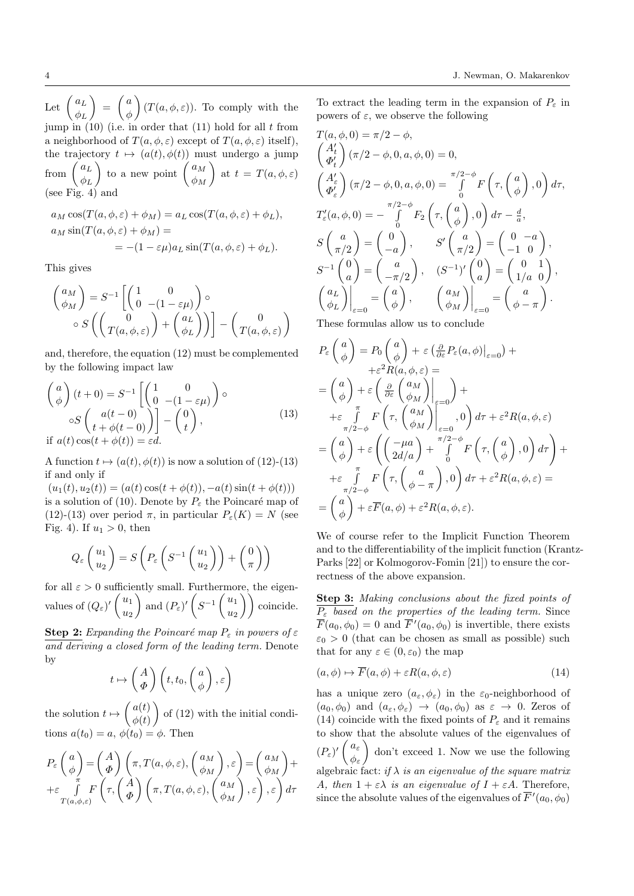Let  $\int_{-l}^{l} a_L$  $\phi_L$  $\Big) = \Big( \begin{array}{c} a \\ a \end{array} \Big)$ φ  $\left( T(a, \phi, \varepsilon) \right)$ . To comply with the jump in  $(10)$  (i.e. in order that  $(11)$  hold for all t from a neighborhood of  $T(a, \phi, \varepsilon)$  except of  $T(a, \phi, \varepsilon)$  itself), the trajectory  $t \mapsto (a(t), \phi(t))$  must undergo a jump from  $\int_{-l}^{l} a_L$  $\phi_L$ ) to a new point  $\begin{pmatrix} a_M \\ b_M \end{pmatrix}$  $\phi_M$ ) at  $t = T(a, \phi, \varepsilon)$ (see Fig. 4) and

$$
a_M \cos(T(a, \phi, \varepsilon) + \phi_M) = a_L \cos(T(a, \phi, \varepsilon) + \phi_L),
$$
  
\n
$$
a_M \sin(T(a, \phi, \varepsilon) + \phi_M) =
$$
  
\n
$$
= -(1 - \varepsilon \mu) a_L \sin(T(a, \phi, \varepsilon) + \phi_L).
$$

This gives

$$
\begin{pmatrix}\na_M \\
\phi_M\n\end{pmatrix} = S^{-1} \left[ \begin{pmatrix}\n1 & 0 \\
0 & -(1 - \varepsilon \mu)\n\end{pmatrix} \circ \right.\n\circ S \left( \begin{pmatrix}\n0 \\
T(a, \phi, \varepsilon)\n\end{pmatrix} + \begin{pmatrix}\na_L \\
\phi_L\n\end{pmatrix} \right) \right] - \begin{pmatrix}\n0 \\
T(a, \phi, \varepsilon)\n\end{pmatrix}
$$

and, therefore, the equation (12) must be complemented by the following impact law

$$
\begin{pmatrix} a \\ \phi \end{pmatrix} (t+0) = S^{-1} \left[ \begin{pmatrix} 1 & 0 \\ 0 & -(1 - \varepsilon \mu) \end{pmatrix} \right] \circ
$$
  
\n
$$
\circ S \begin{pmatrix} a(t-0) \\ t + \phi(t-0) \end{pmatrix} - \begin{pmatrix} 0 \\ t \end{pmatrix},
$$
  
\nif  $a(t) \cos(t + \phi(t)) = \varepsilon d$ . (13)

A function  $t \mapsto (a(t), \phi(t))$  is now a solution of (12)-(13) if and only if

 $(u_1(t), u_2(t)) = (a(t)\cos(t + \phi(t)), -a(t)\sin(t + \phi(t)))$ is a solution of (10). Denote by  $P_{\varepsilon}$  the Poincaré map of (12)-(13) over period  $\pi$ , in particular  $P_{\varepsilon}(K) = N$  (see Fig. 4). If  $u_1 > 0$ , then

$$
Q_{\varepsilon}\left(\frac{u_1}{u_2}\right) = S\left(P_{\varepsilon}\left(S^{-1}\left(\frac{u_1}{u_2}\right)\right) + \left(\frac{0}{\pi}\right)\right)
$$

for all  $\varepsilon > 0$  sufficiently small. Furthermore, the eigenvalues of  $(Q_\varepsilon)'$   $\left(\begin{array}{c} u_1 \\ u_2 \end{array}\right)$  $u_2$ ) and  $(P_{\varepsilon})'$   $\left(S^{-1}\left(\frac{u_1}{u_1}\right)\right)$  $\begin{pmatrix} u_1 \\ u_2 \end{pmatrix}$  coincide.

Step 2: Expanding the Poincaré map  $P_{\varepsilon}$  in powers of  $\varepsilon$ and deriving a closed form of the leading term. Denote by

$$
t \mapsto \begin{pmatrix} A \\ \Phi \end{pmatrix} \left( t, t_0, \begin{pmatrix} a \\ \phi \end{pmatrix}, \varepsilon \right)
$$

the solution  $t \mapsto \left( \begin{array}{c} a(t) \\ t(t) \end{array} \right)$  $\phi(t)$  $\int$  of (12) with the initial conditions  $a(t_0) = a, \, \phi(t_0) = \phi$ . Then

$$
P_{\varepsilon}\left(\begin{array}{c}a\\ \phi\end{array}\right)=\left(\begin{array}{c}A\\ \Phi\end{array}\right)\left(\pi,T(a,\phi,\varepsilon),\left(\begin{array}{c}a_M\\ \phi_M\end{array}\right),\varepsilon\right)=\left(\begin{array}{c}a_M\\ \phi_M\end{array}\right)+
$$
  
+
$$
\varepsilon\int\limits_{T(a,\phi,\varepsilon)}^{\pi}F\left(\tau,\left(\begin{array}{c}A\\ \Phi\end{array}\right)\left(\pi,T(a,\phi,\varepsilon),\left(\begin{array}{c}a_M\\ \phi_M\end{array}\right),\varepsilon\right),\varepsilon\right)d\tau
$$

To extract the leading term in the expansion of  $P_{\varepsilon}$  in powers of  $\varepsilon$ , we observe the following

$$
T(a, \phi, 0) = \pi/2 - \phi,
$$
  
\n
$$
\begin{pmatrix} A'_t \\ \Phi'_t \end{pmatrix} (\pi/2 - \phi, 0, a, \phi, 0) = 0,
$$
  
\n
$$
\begin{pmatrix} A'_\varepsilon \\ \Phi'_\varepsilon \end{pmatrix} (\pi/2 - \phi, 0, a, \phi, 0) = \int_0^{\pi/2 - \phi} F\left(\tau, \begin{pmatrix} a \\ \phi \end{pmatrix}, 0\right) d\tau,
$$
  
\n
$$
T'_\varepsilon(a, \phi, 0) = -\int_0^{\pi/2 - \phi} F_2\left(\tau, \begin{pmatrix} a \\ \phi \end{pmatrix}, 0\right) d\tau - \frac{d}{a},
$$
  
\n
$$
S\begin{pmatrix} a \\ \pi/2 \end{pmatrix} = \begin{pmatrix} 0 \\ -a \end{pmatrix}, \qquad S'\begin{pmatrix} a \\ \pi/2 \end{pmatrix} = \begin{pmatrix} 0 & -a \\ -1 & 0 \end{pmatrix},
$$
  
\n
$$
S^{-1}\begin{pmatrix} 0 \\ a \end{pmatrix} = \begin{pmatrix} a \\ -\pi/2 \end{pmatrix}, \qquad (S^{-1})'\begin{pmatrix} 0 \\ a \end{pmatrix} = \begin{pmatrix} 0 & 1 \\ 1/a & 0 \end{pmatrix},
$$
  
\n
$$
\begin{pmatrix} a_L \\ \phi_L \end{pmatrix} \Big|_{\varepsilon=0} = \begin{pmatrix} a \\ \phi \end{pmatrix}, \qquad \begin{pmatrix} a_M \\ \phi_M \end{pmatrix} \Big|_{\varepsilon=0} = \begin{pmatrix} a \\ \phi - \pi \end{pmatrix}.
$$

These formulas allow us to conclude

$$
P_{\varepsilon}\begin{pmatrix} a \\ \phi \end{pmatrix} = P_{0}\begin{pmatrix} a \\ \phi \end{pmatrix} + \varepsilon \left( \frac{\partial}{\partial \varepsilon} P_{\varepsilon}(a, \phi) \Big|_{\varepsilon=0} \right) +
$$
  
\n
$$
+ \varepsilon^{2} R(a, \phi, \varepsilon) =
$$
  
\n
$$
= \begin{pmatrix} a \\ \phi \end{pmatrix} + \varepsilon \begin{pmatrix} \frac{\partial}{\partial \varepsilon} \begin{pmatrix} a_{M} \\ \phi_{M} \end{pmatrix} \Big|_{\varepsilon=0} \end{pmatrix} +
$$
  
\n
$$
+ \varepsilon \int_{\pi/2 - \phi}^{\pi} F\left( \tau, \begin{pmatrix} a_{M} \\ \phi_{M} \end{pmatrix} \Big|_{\varepsilon=0}^{-}, 0 \right) d\tau + \varepsilon^{2} R(a, \phi, \varepsilon)
$$
  
\n
$$
= \begin{pmatrix} a \\ \phi \end{pmatrix} + \varepsilon \begin{pmatrix} -\mu a \\ 2d/a \end{pmatrix} + \int_{0}^{\pi/2 - \phi} F\left( \tau, \begin{pmatrix} a \\ \phi \end{pmatrix}, 0 \right) d\tau \end{pmatrix} +
$$
  
\n
$$
+ \varepsilon \int_{\pi/2 - \phi}^{\pi} F\left( \tau, \begin{pmatrix} a \\ \phi - \pi \end{pmatrix}, 0 \right) d\tau + \varepsilon^{2} R(a, \phi, \varepsilon) =
$$
  
\n
$$
= \begin{pmatrix} a \\ \phi \end{pmatrix} + \varepsilon \overline{F}(a, \phi) + \varepsilon^{2} R(a, \phi, \varepsilon).
$$

We of course refer to the Implicit Function Theorem and to the differentiability of the implicit function (Krantz-Parks [22] or Kolmogorov-Fomin [21]) to ensure the correctness of the above expansion.

Step 3: Making conclusions about the fixed points of  $\overline{P_{\varepsilon}}$  based on the properties of the leading term. Since  $\overline{F}(a_0, \phi_0) = 0$  and  $\overline{F}'(a_0, \phi_0)$  is invertible, there exists  $\varepsilon_0 > 0$  (that can be chosen as small as possible) such that for any  $\varepsilon \in (0, \varepsilon_0)$  the map

$$
(a, \phi) \mapsto \overline{F}(a, \phi) + \varepsilon R(a, \phi, \varepsilon) \tag{14}
$$

has a unique zero  $(a_{\varepsilon}, \phi_{\varepsilon})$  in the  $\varepsilon_0$ -neighborhood of  $(a_0, \phi_0)$  and  $(a_\varepsilon, \phi_\varepsilon) \to (a_0, \phi_0)$  as  $\varepsilon \to 0$ . Zeros of (14) coincide with the fixed points of  $P_{\varepsilon}$  and it remains to show that the absolute values of the eigenvalues of  $(P_\varepsilon)' \left( \begin{array}{c} a_\varepsilon \\ a_\varepsilon \end{array} \right)$  $\phi_{\varepsilon}$  don't exceed 1. Now we use the following algebraic fact: if  $\lambda$  is an eigenvalue of the square matrix A, then  $1 + \varepsilon \lambda$  is an eigenvalue of  $I + \varepsilon A$ . Therefore, since the absolute values of the eigenvalues of  $\overline{F}'(a_0, \phi_0)$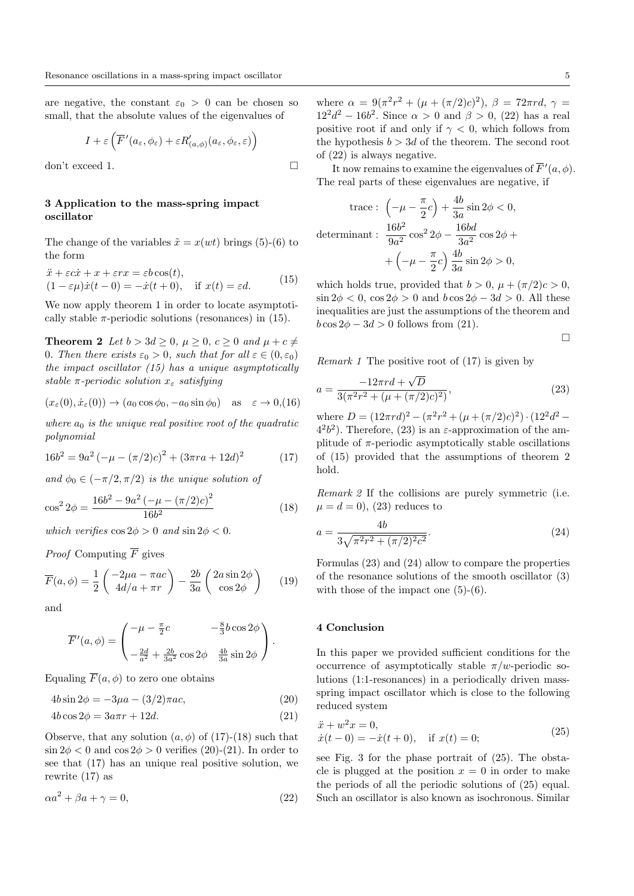are negative, the constant  $\varepsilon_0 > 0$  can be chosen so small, that the absolute values of the eigenvalues of

$$
I + \varepsilon \left( \overline{F}'(a_{\varepsilon}, \phi_{\varepsilon}) + \varepsilon R'_{(a, \phi)}(a_{\varepsilon}, \phi_{\varepsilon}, \varepsilon) \right)
$$

don't exceed 1.

## 3 Application to the mass-spring impact oscillator

The change of the variables  $\tilde{x} = x(wt)$  brings (5)-(6) to the form

$$
\ddot{x} + \varepsilon c \dot{x} + x + \varepsilon r x = \varepsilon b \cos(t), \n(1 - \varepsilon \mu) \dot{x} (t - 0) = -\dot{x} (t + 0), \quad \text{if } x(t) = \varepsilon d.
$$
\n(15)

We now apply theorem 1 in order to locate asymptotically stable  $\pi$ -periodic solutions (resonances) in (15).

**Theorem 2** Let  $b > 3d \geq 0$ ,  $\mu \geq 0$ ,  $c \geq 0$  and  $\mu + c \neq 0$ 0. Then there exists  $\varepsilon_0 > 0$ , such that for all  $\varepsilon \in (0, \varepsilon_0)$ the impact oscillator (15) has a unique asymptotically stable  $\pi$ -periodic solution  $x_{\epsilon}$  satisfying

$$
(x_{\varepsilon}(0), \dot{x}_{\varepsilon}(0)) \to (a_0 \cos \phi_0, -a_0 \sin \phi_0) \quad \text{as} \quad \varepsilon \to 0, (16)
$$

where  $a_0$  is the unique real positive root of the quadratic polynomial

$$
16b2 = 9a2 (-\mu - (\pi/2)c)2 + (3\pi ra + 12d)2
$$
 (17)

and  $\phi_0 \in (-\pi/2, \pi/2)$  is the unique solution of

$$
\cos^2 2\phi = \frac{16b^2 - 9a^2 \left(-\mu - (\pi/2)c\right)^2}{16b^2} \tag{18}
$$

which verifies  $\cos 2\phi > 0$  and  $\sin 2\phi < 0$ .

*Proof* Computing  $\overline{F}$  gives

$$
\overline{F}(a,\phi) = \frac{1}{2} \begin{pmatrix} -2\mu a - \pi ac \\ 4d/a + \pi r \end{pmatrix} - \frac{2b}{3a} \begin{pmatrix} 2a\sin 2\phi \\ \cos 2\phi \end{pmatrix}
$$
 (19)

and

$$
\overline{F}'(a,\phi) = \begin{pmatrix} -\mu - \frac{\pi}{2}c & -\frac{8}{3}b\cos 2\phi \\ -\frac{2d}{a^2} + \frac{2b}{3a^2}\cos 2\phi & \frac{4b}{3a}\sin 2\phi \end{pmatrix}.
$$

Equaling  $\overline{F}(a, \phi)$  to zero one obtains

$$
4b\sin 2\phi = -3\mu a - (3/2)\pi ac,\tag{20}
$$

$$
4b\cos 2\phi = 3a\pi r + 12d.\tag{21}
$$

Observe, that any solution  $(a, \phi)$  of (17)-(18) such that  $\sin 2\phi < 0$  and  $\cos 2\phi > 0$  verifies (20)-(21). In order to see that (17) has an unique real positive solution, we rewrite (17) as

$$
\alpha a^2 + \beta a + \gamma = 0,\tag{22}
$$

where  $\alpha = 9(\pi^2 r^2 + (\mu + (\pi/2)c)^2), \ \beta = 72\pi r d, \ \gamma =$  $12^2d^2 - 16b^2$ . Since  $\alpha > 0$  and  $\beta > 0$ , (22) has a real positive root if and only if  $\gamma < 0$ , which follows from the hypothesis  $b > 3d$  of the theorem. The second root of (22) is always negative.

It now remains to examine the eigenvalues of  $\overline{F}'(a, \phi)$ . The real parts of these eigenvalues are negative, if

$$
\text{trace}: \left(-\mu - \frac{\pi}{2}c\right) + \frac{4b}{3a}\sin 2\phi < 0,
$$
\n
$$
\text{determinant}: \frac{16b^2}{9a^2}\cos^2 2\phi - \frac{16bd}{3a^2}\cos 2\phi + \left(-\mu - \frac{\pi}{2}c\right)\frac{4b}{3a}\sin 2\phi > 0,
$$

which holds true, provided that  $b > 0$ ,  $\mu + (\pi/2)c > 0$ ,  $\sin 2\phi < 0$ ,  $\cos 2\phi > 0$  and  $b \cos 2\phi - 3d > 0$ . All these inequalities are just the assumptions of the theorem and  $b \cos 2\phi - 3d > 0$  follows from (21).

$$
\Box
$$

*Remark 1* The positive root of  $(17)$  is given by

$$
a = \frac{-12\pi r d + \sqrt{D}}{3(\pi^2 r^2 + (\mu + (\pi/2)c)^2)},
$$
\n(23)

where  $D = (12\pi r d)^2 - (\pi^2 r^2 + (\mu + (\pi/2)c)^2) \cdot (12^2 d^2 4^{2}b^{2}$ ). Therefore, (23) is an  $\varepsilon$ -approximation of the amplitude of  $\pi$ -periodic asymptotically stable oscillations of (15) provided that the assumptions of theorem 2 hold.

Remark 2 If the collisions are purely symmetric (i.e.  $\mu = d = 0$ , (23) reduces to

$$
a = \frac{4b}{3\sqrt{\pi^2 r^2 + (\pi/2)^2 c^2}}.\tag{24}
$$

Formulas (23) and (24) allow to compare the properties of the resonance solutions of the smooth oscillator (3) with those of the impact one (5)-(6).

## 4 Conclusion

In this paper we provided sufficient conditions for the occurrence of asymptotically stable  $\pi/w$ -periodic solutions (1:1-resonances) in a periodically driven massspring impact oscillator which is close to the following reduced system

$$
\ddot{x} + w^2 x = 0,\n\dot{x}(t-0) = -\dot{x}(t+0), \quad \text{if } x(t) = 0;
$$
\n(25)

see Fig. 3 for the phase portrait of (25). The obstacle is plugged at the position  $x = 0$  in order to make the periods of all the periodic solutions of (25) equal. Such an oscillator is also known as isochronous. Similar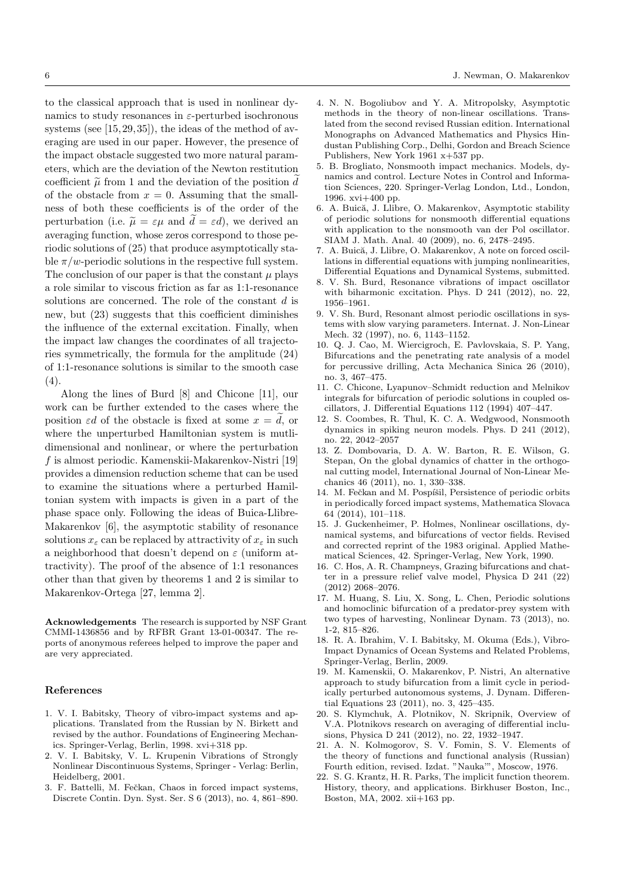to the classical approach that is used in nonlinear dynamics to study resonances in  $\varepsilon$ -perturbed isochronous systems (see [15, 29, 35]), the ideas of the method of averaging are used in our paper. However, the presence of the impact obstacle suggested two more natural parameters, which are the deviation of the Newton restitution coefficient  $\tilde{\mu}$  from 1 and the deviation of the position d of the obstacle from  $x = 0$ . Assuming that the smallness of both these coefficients is of the order of the perturbation (i.e.  $\tilde{\mu} = \varepsilon \mu$  and  $\tilde{d} = \varepsilon d$ ), we derived an averaging function, whose zeros correspond to those periodic solutions of (25) that produce asymptotically stable  $\pi/w$ -periodic solutions in the respective full system. The conclusion of our paper is that the constant  $\mu$  plays a role similar to viscous friction as far as 1:1-resonance solutions are concerned. The role of the constant d is new, but (23) suggests that this coefficient diminishes the influence of the external excitation. Finally, when the impact law changes the coordinates of all trajectories symmetrically, the formula for the amplitude (24) of 1:1-resonance solutions is similar to the smooth case (4).

Along the lines of Burd [8] and Chicone [11], our work can be further extended to the cases where the position  $\varepsilon d$  of the obstacle is fixed at some  $x = d$ , or where the unperturbed Hamiltonian system is mutlidimensional and nonlinear, or where the perturbation f is almost periodic. Kamenskii-Makarenkov-Nistri [19] provides a dimension reduction scheme that can be used to examine the situations where a perturbed Hamiltonian system with impacts is given in a part of the phase space only. Following the ideas of Buica-Llibre-Makarenkov [6], the asymptotic stability of resonance solutions  $x_{\varepsilon}$  can be replaced by attractivity of  $x_{\varepsilon}$  in such a neighborhood that doesn't depend on  $\varepsilon$  (uniform attractivity). The proof of the absence of 1:1 resonances other than that given by theorems 1 and 2 is similar to Makarenkov-Ortega [27, lemma 2].

Acknowledgements The research is supported by NSF Grant CMMI-1436856 and by RFBR Grant 13-01-00347. The reports of anonymous referees helped to improve the paper and are very appreciated.

#### References

- 1. V. I. Babitsky, Theory of vibro-impact systems and applications. Translated from the Russian by N. Birkett and revised by the author. Foundations of Engineering Mechanics. Springer-Verlag, Berlin, 1998. xvi+318 pp.
- 2. V. I. Babitsky, V. L. Krupenin Vibrations of Strongly Nonlinear Discontinuous Systems, Springer - Verlag: Berlin, Heidelberg, 2001.
- 3. F. Battelli, M. Fečkan, Chaos in forced impact systems, Discrete Contin. Dyn. Syst. Ser. S 6 (2013), no. 4, 861–890.
- 4. N. N. Bogoliubov and Y. A. Mitropolsky, Asymptotic methods in the theory of non-linear oscillations. Translated from the second revised Russian edition. International Monographs on Advanced Mathematics and Physics Hindustan Publishing Corp., Delhi, Gordon and Breach Science Publishers, New York 1961 x+537 pp.
- 5. B. Brogliato, Nonsmooth impact mechanics. Models, dynamics and control. Lecture Notes in Control and Information Sciences, 220. Springer-Verlag London, Ltd., London, 1996. xvi+400 pp.
- 6. A. Buică, J. Llibre, O. Makarenkov, Asymptotic stability of periodic solutions for nonsmooth differential equations with application to the nonsmooth van der Pol oscillator. SIAM J. Math. Anal. 40 (2009), no. 6, 2478–2495.
- 7. A. Buică, J. Llibre, O. Makarenkov, A note on forced oscillations in differential equations with jumping nonlinearities, Differential Equations and Dynamical Systems, submitted.
- 8. V. Sh. Burd, Resonance vibrations of impact oscillator with biharmonic excitation. Phys. D 241 (2012), no. 22, 1956–1961.
- 9. V. Sh. Burd, Resonant almost periodic oscillations in systems with slow varying parameters. Internat. J. Non-Linear Mech. 32 (1997), no. 6, 1143–1152.
- 10. Q. J. Cao, M. Wiercigroch, E. Pavlovskaia, S. P. Yang, Bifurcations and the penetrating rate analysis of a model for percussive drilling, Acta Mechanica Sinica 26 (2010), no. 3, 467–475.
- 11. C. Chicone, Lyapunov–Schmidt reduction and Melnikov integrals for bifurcation of periodic solutions in coupled oscillators, J. Differential Equations 112 (1994) 407–447.
- 12. S. Coombes, R. Thul, K. C. A. Wedgwood, Nonsmooth dynamics in spiking neuron models. Phys. D 241 (2012), no. 22, 2042–2057
- 13. Z. Dombovaria, D. A. W. Barton, R. E. Wilson, G. Stepan, On the global dynamics of chatter in the orthogonal cutting model, International Journal of Non-Linear Mechanics 46 (2011), no. 1, 330–338.
- 14. M. Fečkan and M. Pospíšil, Persistence of periodic orbits in periodically forced impact systems, Mathematica Slovaca 64 (2014), 101–118.
- 15. J. Guckenheimer, P. Holmes, Nonlinear oscillations, dynamical systems, and bifurcations of vector fields. Revised and corrected reprint of the 1983 original. Applied Mathematical Sciences, 42. Springer-Verlag, New York, 1990.
- 16. C. Hos, A. R. Champneys, Grazing bifurcations and chatter in a pressure relief valve model, Physica D 241 (22) (2012) 2068–2076.
- 17. M. Huang, S. Liu, X. Song, L. Chen, Periodic solutions and homoclinic bifurcation of a predator-prey system with two types of harvesting, Nonlinear Dynam. 73 (2013), no. 1-2, 815–826.
- 18. R. A. Ibrahim, V. I. Babitsky, M. Okuma (Eds.), Vibro-Impact Dynamics of Ocean Systems and Related Problems, Springer-Verlag, Berlin, 2009.
- 19. M. Kamenskii, O. Makarenkov, P. Nistri, An alternative approach to study bifurcation from a limit cycle in periodically perturbed autonomous systems, J. Dynam. Differential Equations 23 (2011), no. 3, 425–435.
- 20. S. Klymchuk, A. Plotnikov, N. Skripnik, Overview of V.A. Plotnikovs research on averaging of differential inclusions, Physica D 241 (2012), no. 22, 1932–1947.
- 21. A. N. Kolmogorov, S. V. Fomin, S. V. Elements of the theory of functions and functional analysis (Russian) Fourth edition, revised. Izdat. "Nauka'", Moscow, 1976.
- 22. S. G. Krantz, H. R. Parks, The implicit function theorem. History, theory, and applications. Birkhuser Boston, Inc., Boston, MA, 2002. xii+163 pp.